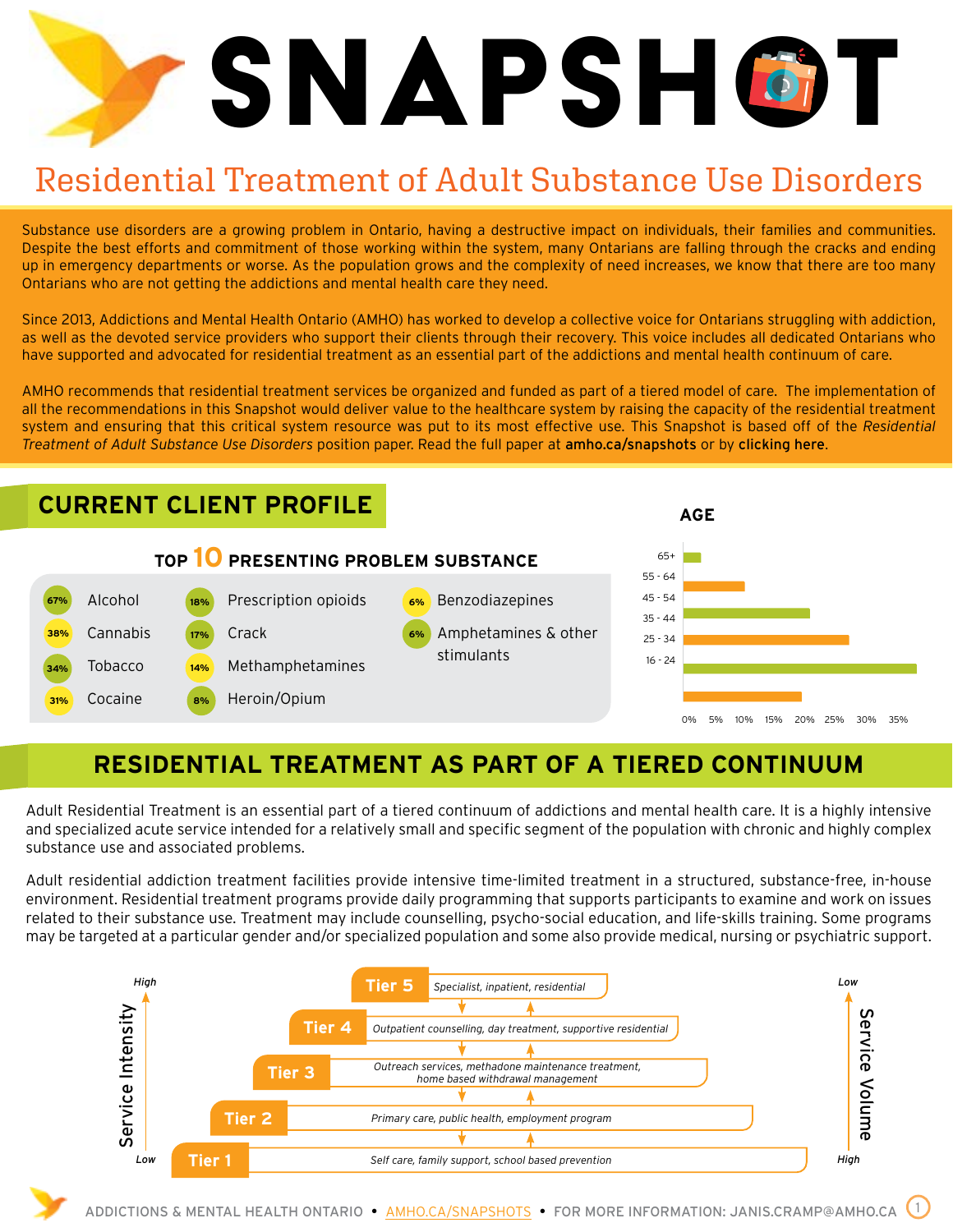# SNAPSH**o**it

# Residential Treatment of Adult Substance Use Disorders

Substance use disorders are a growing problem in Ontario, having a destructive impact on individuals, their families and communities. Despite the best efforts and commitment of those working within the system, many Ontarians are falling through the cracks and ending up in emergency departments or worse. As the population grows and the complexity of need increases, we know that there are too many Ontarians who are not getting the addictions and mental health care they need.

Since 2013, Addictions and Mental Health Ontario (AMHO) has worked to develop a collective voice for Ontarians struggling with addiction, as well as the devoted service providers who support their clients through their recovery. This voice includes all dedicated Ontarians who have supported and advocated for residential treatment as an essential part of the addictions and mental health continuum of care.

AMHO recommends that residential treatment services be organized and funded as part of a tiered model of care. The implementation of all the recommendations in this Snapshot would deliver value to the healthcare system by raising the capacity of the residential treatment system and ensuring that this critical system resource was put to its most effective use. This Snapshot is based off of the *Residential Treatment of Adult Substance Use Disorders* position paper. Read the full paper at [amho.ca/snapshots](http://amho.ca/snapshots) or by [clicking here](https://amho.ca/wp-content/uploads/Residential-Treatment-of-Adult-Substance-Use-Disorders-Position-Paper.pdf).



### **RESIDENTIAL TREATMENT AS PART OF A TIERED CONTINUUM**

Adult Residential Treatment is an essential part of a tiered continuum of addictions and mental health care. It is a highly intensive and specialized acute service intended for a relatively small and specific segment of the population with chronic and highly complex substance use and associated problems.

Adult residential addiction treatment facilities provide intensive time-limited treatment in a structured, substance-free, in-house environment. Residential treatment programs provide daily programming that supports participants to examine and work on issues related to their substance use. Treatment may include counselling, psycho-social education, and life-skills training. Some programs may be targeted at a particular gender and/or specialized population and some also provide medical, nursing or psychiatric support.